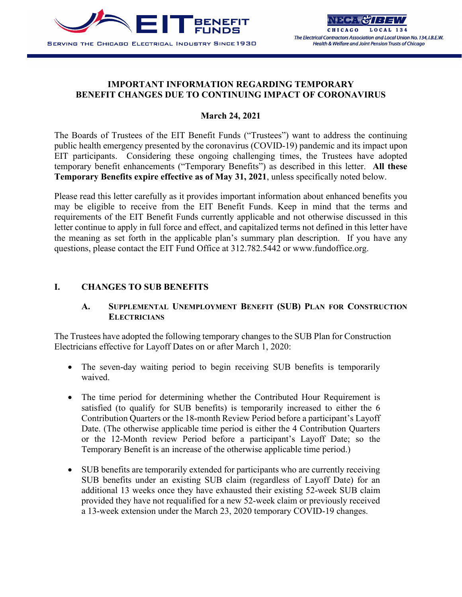

### **IMPORTANT INFORMATION REGARDING TEMPORARY BENEFIT CHANGES DUE TO CONTINUING IMPACT OF CORONAVIRUS**

### **March 24, 2021**

The Boards of Trustees of the EIT Benefit Funds ("Trustees") want to address the continuing public health emergency presented by the coronavirus (COVID-19) pandemic and its impact upon EIT participants. Considering these ongoing challenging times, the Trustees have adopted temporary benefit enhancements ("Temporary Benefits") as described in this letter. **All these Temporary Benefits expire effective as of May 31, 2021**, unless specifically noted below.

Please read this letter carefully as it provides important information about enhanced benefits you may be eligible to receive from the EIT Benefit Funds. Keep in mind that the terms and requirements of the EIT Benefit Funds currently applicable and not otherwise discussed in this letter continue to apply in full force and effect, and capitalized terms not defined in this letter have the meaning as set forth in the applicable plan's summary plan description. If you have any questions, please contact the EIT Fund Office at 312.782.5442 or www.fundoffice.org.

### **I. CHANGES TO SUB BENEFITS**

## **A. SUPPLEMENTAL UNEMPLOYMENT BENEFIT (SUB) PLAN FOR CONSTRUCTION ELECTRICIANS**

The Trustees have adopted the following temporary changes to the SUB Plan for Construction Electricians effective for Layoff Dates on or after March 1, 2020:

- The seven-day waiting period to begin receiving SUB benefits is temporarily waived.
- The time period for determining whether the Contributed Hour Requirement is satisfied (to qualify for SUB benefits) is temporarily increased to either the 6 Contribution Quarters or the 18-month Review Period before a participant's Layoff Date. (The otherwise applicable time period is either the 4 Contribution Quarters or the 12-Month review Period before a participant's Layoff Date; so the Temporary Benefit is an increase of the otherwise applicable time period.)
- SUB benefits are temporarily extended for participants who are currently receiving SUB benefits under an existing SUB claim (regardless of Layoff Date) for an additional 13 weeks once they have exhausted their existing 52-week SUB claim provided they have not requalified for a new 52-week claim or previously received a 13-week extension under the March 23, 2020 temporary COVID-19 changes.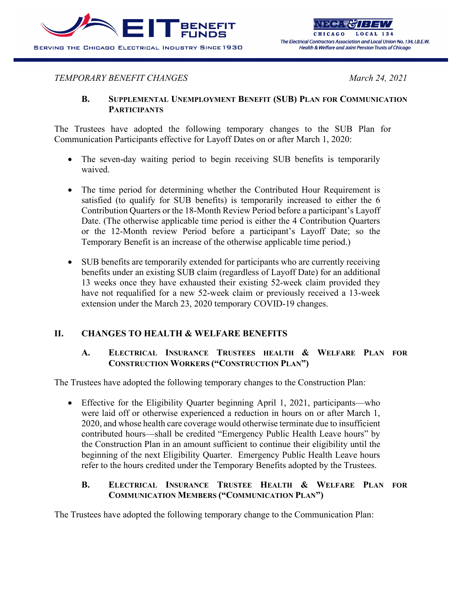

## *TEMPORARY BENEFIT CHANGES March 24, 2021*

## **B. SUPPLEMENTAL UNEMPLOYMENT BENEFIT (SUB) PLAN FOR COMMUNICATION PARTICIPANTS**

The Trustees have adopted the following temporary changes to the SUB Plan for Communication Participants effective for Layoff Dates on or after March 1, 2020:

- The seven-day waiting period to begin receiving SUB benefits is temporarily waived.
- The time period for determining whether the Contributed Hour Requirement is satisfied (to qualify for SUB benefits) is temporarily increased to either the 6 Contribution Quarters or the 18-Month Review Period before a participant's Layoff Date. (The otherwise applicable time period is either the 4 Contribution Quarters or the 12-Month review Period before a participant's Layoff Date; so the Temporary Benefit is an increase of the otherwise applicable time period.)
- SUB benefits are temporarily extended for participants who are currently receiving benefits under an existing SUB claim (regardless of Layoff Date) for an additional 13 weeks once they have exhausted their existing 52-week claim provided they have not requalified for a new 52-week claim or previously received a 13-week extension under the March 23, 2020 temporary COVID-19 changes.

# **II. CHANGES TO HEALTH & WELFARE BENEFITS**

## **A. ELECTRICAL INSURANCE TRUSTEES HEALTH & WELFARE PLAN FOR CONSTRUCTION WORKERS ("CONSTRUCTION PLAN")**

The Trustees have adopted the following temporary changes to the Construction Plan:

• Effective for the Eligibility Quarter beginning April 1, 2021, participants—who were laid off or otherwise experienced a reduction in hours on or after March 1, 2020, and whose health care coverage would otherwise terminate due to insufficient contributed hours—shall be credited "Emergency Public Health Leave hours" by the Construction Plan in an amount sufficient to continue their eligibility until the beginning of the next Eligibility Quarter. Emergency Public Health Leave hours refer to the hours credited under the Temporary Benefits adopted by the Trustees.

## **B. ELECTRICAL INSURANCE TRUSTEE HEALTH & WELFARE PLAN FOR COMMUNICATION MEMBERS ("COMMUNICATION PLAN")**

The Trustees have adopted the following temporary change to the Communication Plan: